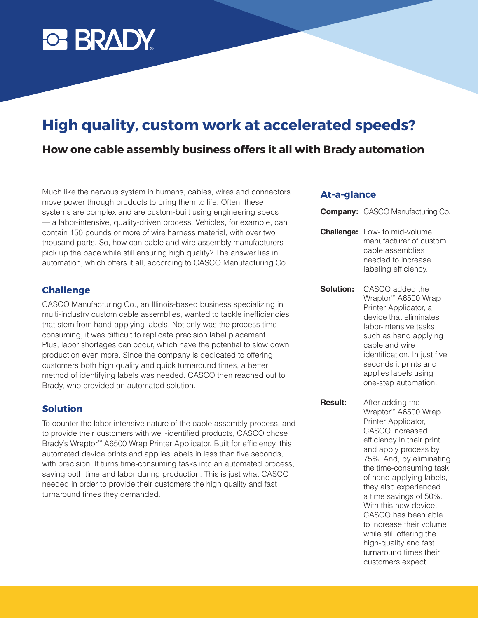

# **High quality, custom work at accelerated speeds?**

## **How one cable assembly business offers it all with Brady automation**

Much like the nervous system in humans, cables, wires and connectors move power through products to bring them to life. Often, these systems are complex and are custom-built using engineering specs — a labor-intensive, quality-driven process. Vehicles, for example, can contain 150 pounds or more of wire harness material, with over two thousand parts. So, how can cable and wire assembly manufacturers pick up the pace while still ensuring high quality? The answer lies in automation, which offers it all, according to CASCO Manufacturing Co.

#### **Challenge**

CASCO Manufacturing Co., an Illinois-based business specializing in multi-industry custom cable assemblies, wanted to tackle inefficiencies that stem from hand-applying labels. Not only was the process time consuming, it was difficult to replicate precision label placement. Plus, labor shortages can occur, which have the potential to slow down production even more. Since the company is dedicated to offering customers both high quality and quick turnaround times, a better method of identifying labels was needed. CASCO then reached out to Brady, who provided an automated solution.

#### **Solution**

To counter the labor-intensive nature of the cable assembly process, and to provide their customers with well-identified products, CASCO chose Brady's Wraptor™ A6500 Wrap Printer Applicator. Built for efficiency, this automated device prints and applies labels in less than five seconds, with precision. It turns time-consuming tasks into an automated process, saving both time and labor during production. This is just what CASCO needed in order to provide their customers the high quality and fast turnaround times they demanded.

#### **At-a-glance**

**Company:** CASCO Manufacturing Co.

- **Challenge:** Low- to mid-volume manufacturer of custom cable assemblies needed to increase labeling efficiency.
- **Solution:** CASCO added the Wraptor™ A6500 Wrap Printer Applicator, a device that eliminates labor-intensive tasks such as hand applying cable and wire identification. In just five seconds it prints and applies labels using one-step automation.
- **Result:** After adding the Wraptor™ A6500 Wrap Printer Applicator, CASCO increased efficiency in their print and apply process by 75%. And, by eliminating the time-consuming task of hand applying labels, they also experienced a time savings of 50%. With this new device, CASCO has been able to increase their volume while still offering the high-quality and fast turnaround times their customers expect.